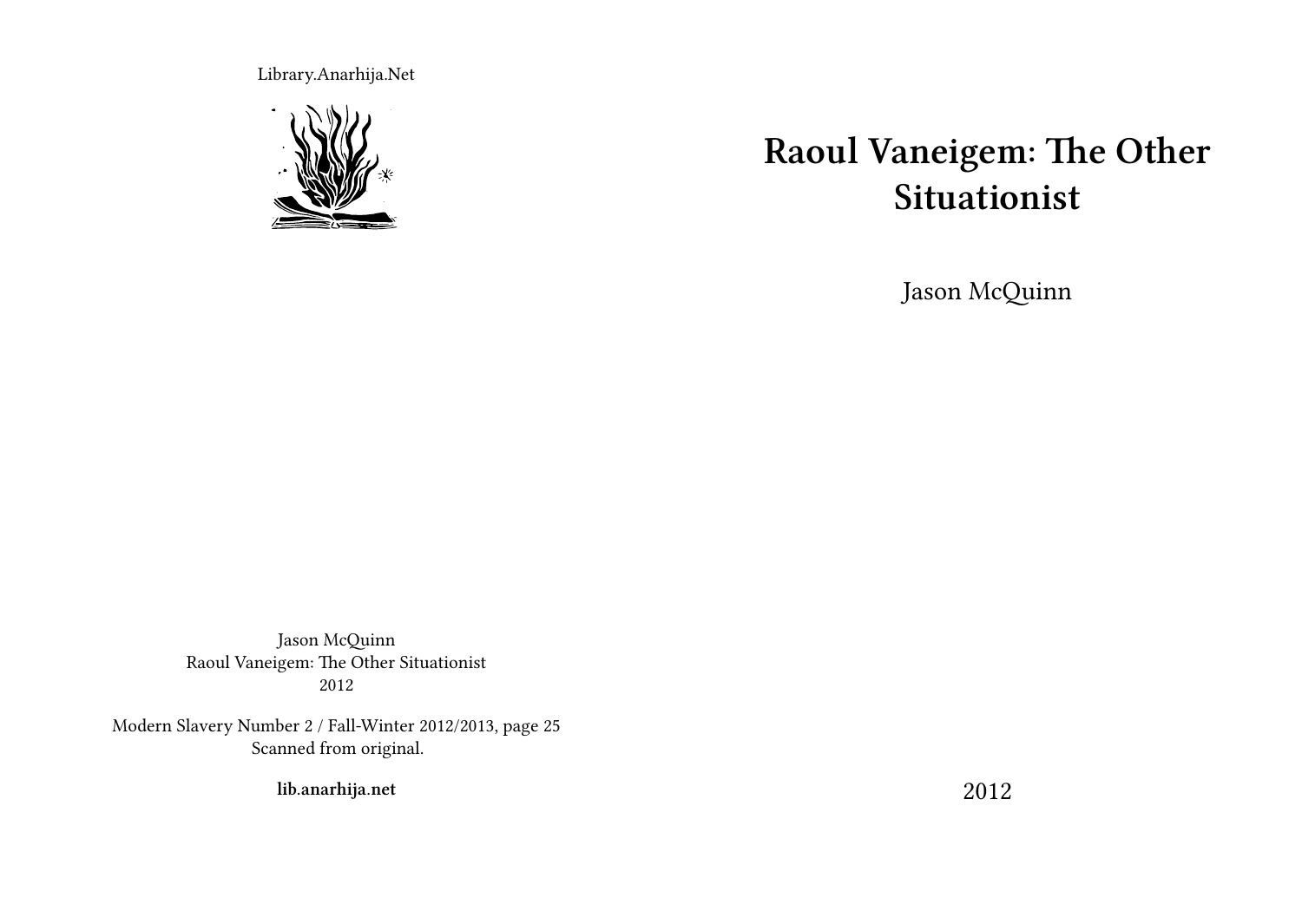Library.Anarhija.Net



# **Raoul Vaneigem: The Other Situationist**

Jason McQuinn

Jason McQuinn Raoul Vaneigem: The Other Situationist 2012

Modern Slavery Number 2 / Fall-Winter 2012/2013, page 25 Scanned from original.

**lib.anarhija.net**

2012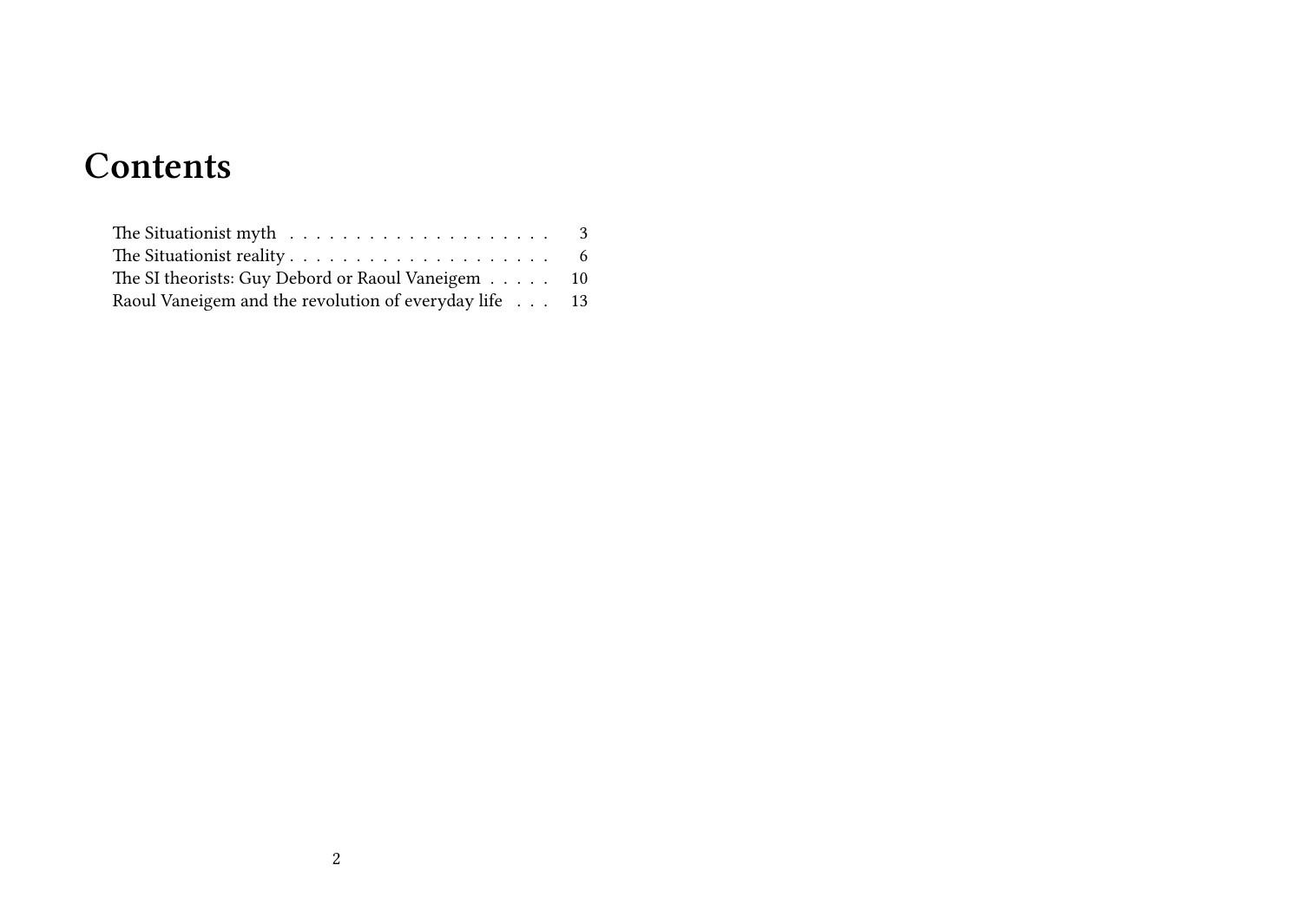# **Contents**

| The Situationist myth $\dots \dots \dots \dots \dots \dots \dots \dots$ 3        |  |
|----------------------------------------------------------------------------------|--|
| The Situationist reality $\dots \dots \dots \dots \dots \dots \dots \dots \dots$ |  |
| The SI theorists: Guy Debord or Raoul Vaneigem 10                                |  |
| Raoul Vaneigem and the revolution of everyday life 13                            |  |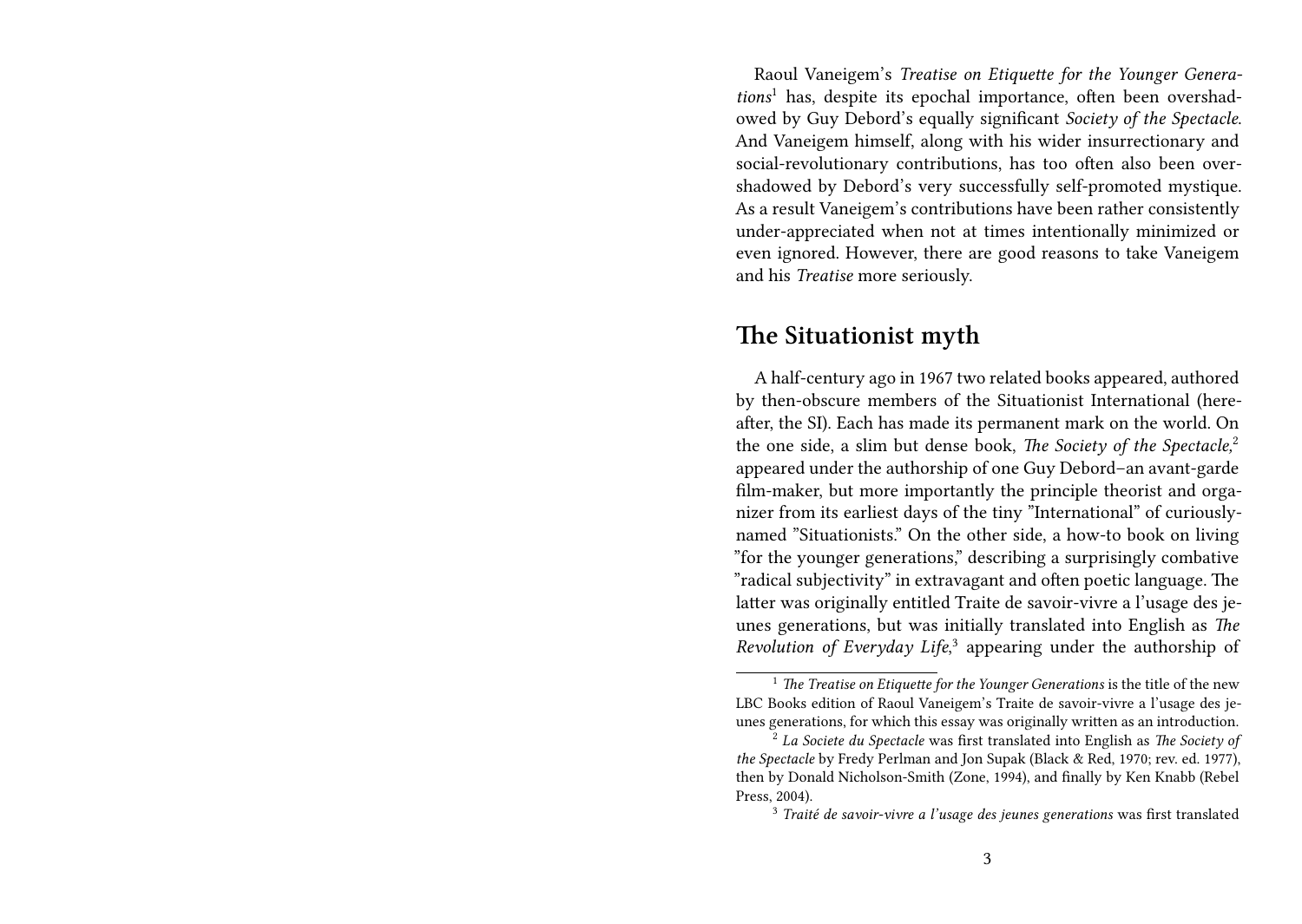Raoul Vaneigem's *Treatise on Etiquette for the Younger Generations*<sup>1</sup> has, despite its epochal importance, often been overshadowed by Guy Debord's equally significant *Society of the Spectacle*. And Vaneigem himself, along with his wider insurrectionary and social-revolutionary contributions, has too often also been overshadowed by Debord's very successfully self-promoted mystique. As a result Vaneigem's contributions have been rather consistently under-appreciated when not at times intentionally minimized or even ignored. However, there are good reasons to take Vaneigem and his *Treatise* more seriously.

#### **The Situationist myth**

A half-century ago in 1967 two related books appeared, authored by then-obscure members of the Situationist International (hereafter, the SI). Each has made its permanent mark on the world. On the one side, a slim but dense book, *The Society of the Spectacle,*<sup>2</sup> appeared under the authorship of one Guy Debord–an avant-garde film-maker, but more importantly the principle theorist and organizer from its earliest days of the tiny "International" of curiouslynamed "Situationists." On the other side, a how-to book on living "for the younger generations," describing a surprisingly combative "radical subjectivity" in extravagant and often poetic language. The latter was originally entitled Traite de savoir-vivre a l'usage des jeunes generations, but was initially translated into English as *The Revolution of Everyday Life*, 3 appearing under the authorship of

<sup>&</sup>lt;sup>1</sup> *The Treatise on Etiquette for the Younger Generations* is the title of the new LBC Books edition of Raoul Vaneigem's Traite de savoir-vivre a l'usage des jeunes generations, for which this essay was originally written as an introduction.

<sup>2</sup> *La Societe du Spectacle* was first translated into English as *The Society of the Spectacle* by Fredy Perlman and Jon Supak (Black & Red, 1970; rev. ed. 1977), then by Donald Nicholson-Smith (Zone, 1994), and finally by Ken Knabb (Rebel Press, 2004).

<sup>3</sup> *Traité de savoir-vivre a l'usage des jeunes generations* was first translated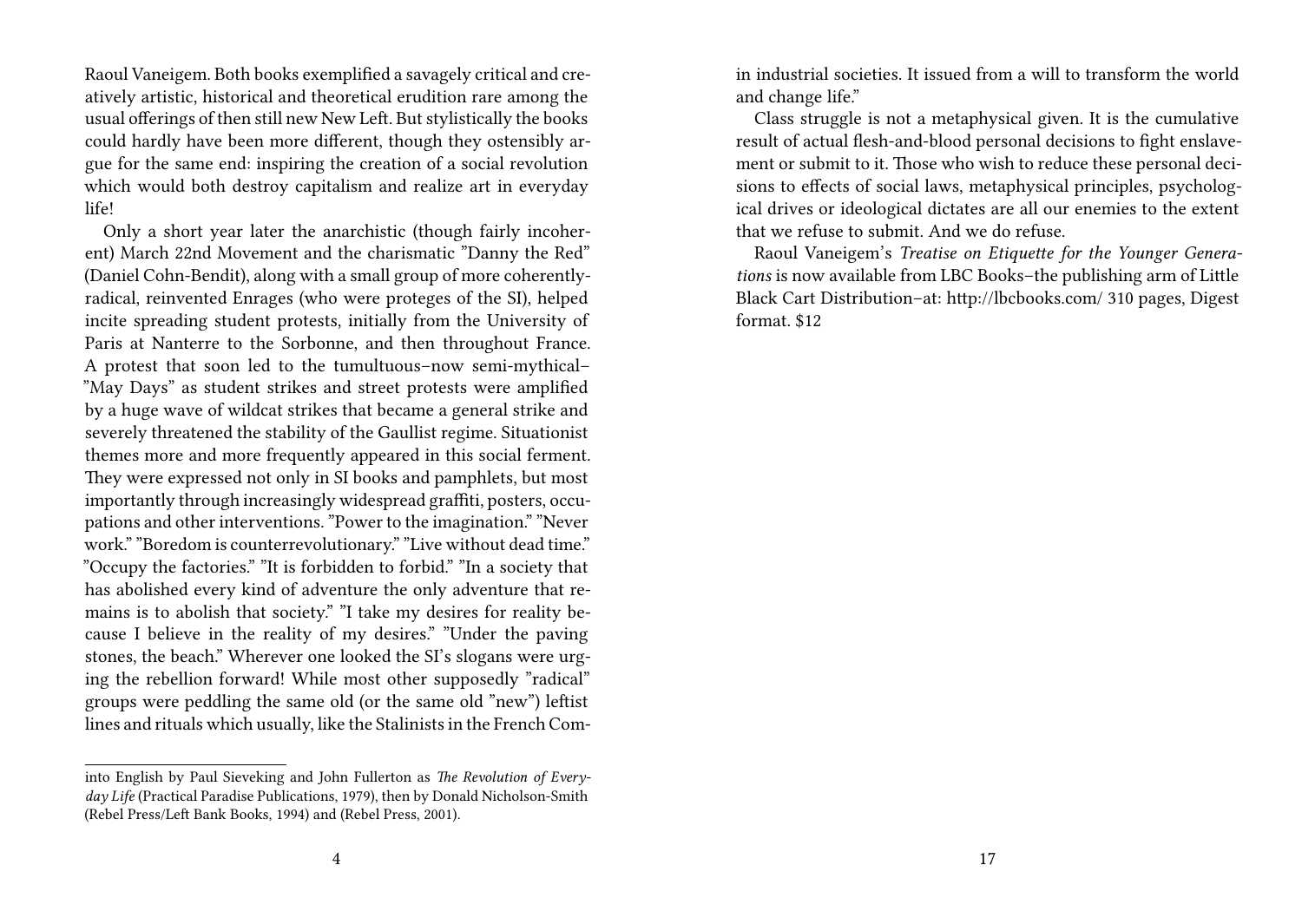Raoul Vaneigem. Both books exemplified a savagely critical and creatively artistic, historical and theoretical erudition rare among the usual offerings of then still new New Left. But stylistically the books could hardly have been more different, though they ostensibly argue for the same end: inspiring the creation of a social revolution which would both destroy capitalism and realize art in everyday life!

Only a short year later the anarchistic (though fairly incoherent) March 22nd Movement and the charismatic "Danny the Red" (Daniel Cohn-Bendit), along with a small group of more coherentlyradical, reinvented Enrages (who were proteges of the SI), helped incite spreading student protests, initially from the University of Paris at Nanterre to the Sorbonne, and then throughout France. A protest that soon led to the tumultuous–now semi-mythical– "May Days" as student strikes and street protests were amplified by a huge wave of wildcat strikes that became a general strike and severely threatened the stability of the Gaullist regime. Situationist themes more and more frequently appeared in this social ferment. They were expressed not only in SI books and pamphlets, but most importantly through increasingly widespread graffiti, posters, occupations and other interventions. "Power to the imagination." "Never work." "Boredom is counterrevolutionary." "Live without dead time." "Occupy the factories." "It is forbidden to forbid." "In a society that has abolished every kind of adventure the only adventure that remains is to abolish that society." "I take my desires for reality because I believe in the reality of my desires." "Under the paving stones, the beach." Wherever one looked the SI's slogans were urging the rebellion forward! While most other supposedly "radical" groups were peddling the same old (or the same old "new") leftist lines and rituals which usually, like the Stalinists in the French Comin industrial societies. It issued from a will to transform the world and change life."

Class struggle is not a metaphysical given. It is the cumulative result of actual flesh-and-blood personal decisions to fight enslavement or submit to it. Those who wish to reduce these personal decisions to effects of social laws, metaphysical principles, psychological drives or ideological dictates are all our enemies to the extent that we refuse to submit. And we do refuse.

Raoul Vaneigem's *Treatise on Etiquette for the Younger Generations* is now available from LBC Books–the publishing arm of Little Black Cart Distribution–at: http://lbcbooks.com/ 310 pages, Digest format. \$12

into English by Paul Sieveking and John Fullerton as *The Revolution of Everyday Life* (Practical Paradise Publications, 1979), then by Donald Nicholson-Smith (Rebel Press/Left Bank Books, 1994) and (Rebel Press, 2001).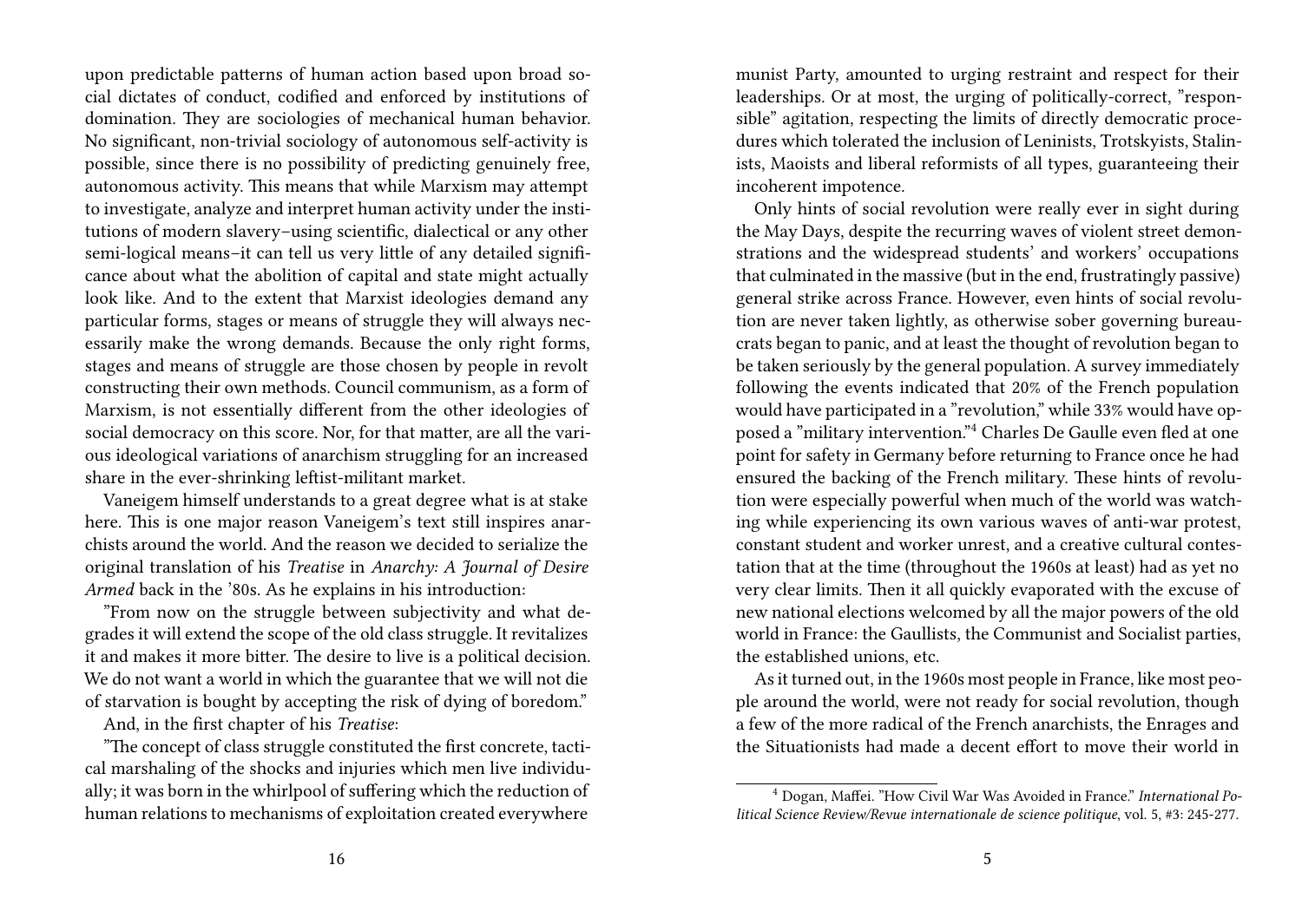upon predictable patterns of human action based upon broad social dictates of conduct, codified and enforced by institutions of domination. They are sociologies of mechanical human behavior. No significant, non-trivial sociology of autonomous self-activity is possible, since there is no possibility of predicting genuinely free, autonomous activity. This means that while Marxism may attempt to investigate, analyze and interpret human activity under the institutions of modern slavery–using scientific, dialectical or any other semi-logical means–it can tell us very little of any detailed significance about what the abolition of capital and state might actually look like. And to the extent that Marxist ideologies demand any particular forms, stages or means of struggle they will always necessarily make the wrong demands. Because the only right forms, stages and means of struggle are those chosen by people in revolt constructing their own methods. Council communism, as a form of Marxism, is not essentially different from the other ideologies of social democracy on this score. Nor, for that matter, are all the various ideological variations of anarchism struggling for an increased share in the ever-shrinking leftist-militant market.

Vaneigem himself understands to a great degree what is at stake here. This is one major reason Vaneigem's text still inspires anarchists around the world. And the reason we decided to serialize the original translation of his *Treatise* in *Anarchy: A Journal of Desire Armed* back in the '80s. As he explains in his introduction:

"From now on the struggle between subjectivity and what degrades it will extend the scope of the old class struggle. It revitalizes it and makes it more bitter. The desire to live is a political decision. We do not want a world in which the guarantee that we will not die of starvation is bought by accepting the risk of dying of boredom."

And, in the first chapter of his *Treatise*:

"The concept of class struggle constituted the first concrete, tactical marshaling of the shocks and injuries which men live individually; it was born in the whirlpool of suffering which the reduction of human relations to mechanisms of exploitation created everywhere

munist Party, amounted to urging restraint and respect for their leaderships. Or at most, the urging of politically-correct, "responsible" agitation, respecting the limits of directly democratic procedures which tolerated the inclusion of Leninists, Trotskyists, Stalinists, Maoists and liberal reformists of all types, guaranteeing their incoherent impotence.

Only hints of social revolution were really ever in sight during the May Days, despite the recurring waves of violent street demonstrations and the widespread students' and workers' occupations that culminated in the massive (but in the end, frustratingly passive) general strike across France. However, even hints of social revolution are never taken lightly, as otherwise sober governing bureaucrats began to panic, and at least the thought of revolution began to be taken seriously by the general population. A survey immediately following the events indicated that 20% of the French population would have participated in a "revolution," while 33% would have opposed a "military intervention."<sup>4</sup> Charles De Gaulle even fled at one point for safety in Germany before returning to France once he had ensured the backing of the French military. These hints of revolution were especially powerful when much of the world was watching while experiencing its own various waves of anti-war protest, constant student and worker unrest, and a creative cultural contestation that at the time (throughout the 1960s at least) had as yet no very clear limits. Then it all quickly evaporated with the excuse of new national elections welcomed by all the major powers of the old world in France: the Gaullists, the Communist and Socialist parties, the established unions, etc.

As it turned out, in the 1960s most people in France, like most people around the world, were not ready for social revolution, though a few of the more radical of the French anarchists, the Enrages and the Situationists had made a decent effort to move their world in

<sup>4</sup> Dogan, Maffei. "How Civil War Was Avoided in France." *International Political Science Review/Revue internationale de science politique*, vol. 5, #3: 245-277.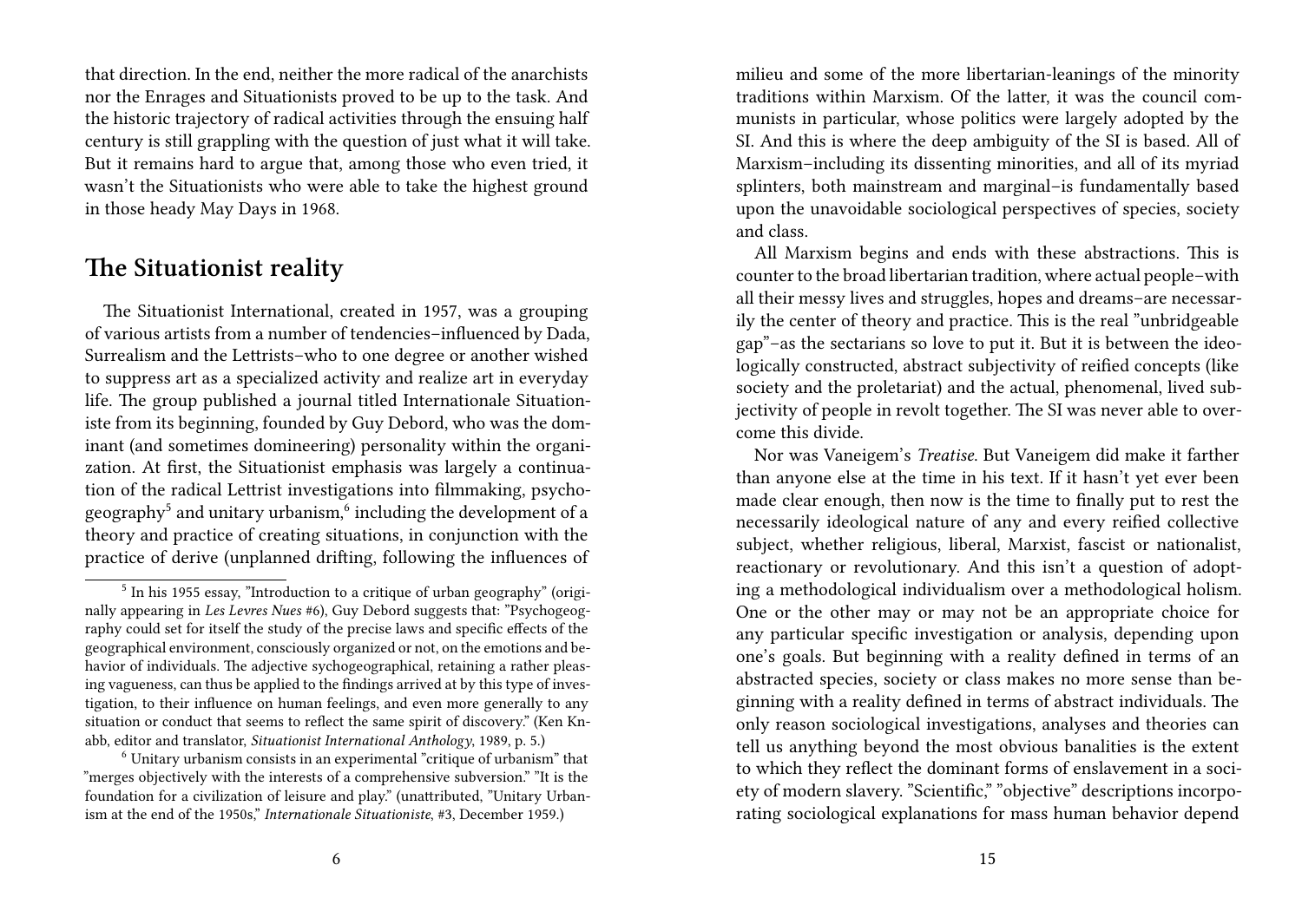that direction. In the end, neither the more radical of the anarchists nor the Enrages and Situationists proved to be up to the task. And the historic trajectory of radical activities through the ensuing half century is still grappling with the question of just what it will take. But it remains hard to argue that, among those who even tried, it wasn't the Situationists who were able to take the highest ground in those heady May Days in 1968.

### **The Situationist reality**

The Situationist International, created in 1957, was a grouping of various artists from a number of tendencies–influenced by Dada, Surrealism and the Lettrists–who to one degree or another wished to suppress art as a specialized activity and realize art in everyday life. The group published a journal titled Internationale Situationiste from its beginning, founded by Guy Debord, who was the dominant (and sometimes domineering) personality within the organization. At first, the Situationist emphasis was largely a continuation of the radical Lettrist investigations into filmmaking, psychogeography<sup>5</sup> and unitary urbanism,<sup>6</sup> including the development of a theory and practice of creating situations, in conjunction with the practice of derive (unplanned drifting, following the influences of

milieu and some of the more libertarian-leanings of the minority traditions within Marxism. Of the latter, it was the council communists in particular, whose politics were largely adopted by the SI. And this is where the deep ambiguity of the SI is based. All of Marxism–including its dissenting minorities, and all of its myriad splinters, both mainstream and marginal–is fundamentally based upon the unavoidable sociological perspectives of species, society and class.

All Marxism begins and ends with these abstractions. This is counter to the broad libertarian tradition, where actual people–with all their messy lives and struggles, hopes and dreams–are necessarily the center of theory and practice. This is the real "unbridgeable gap"–as the sectarians so love to put it. But it is between the ideologically constructed, abstract subjectivity of reified concepts (like society and the proletariat) and the actual, phenomenal, lived subjectivity of people in revolt together. The SI was never able to overcome this divide.

Nor was Vaneigem's *Treatise*. But Vaneigem did make it farther than anyone else at the time in his text. If it hasn't yet ever been made clear enough, then now is the time to finally put to rest the necessarily ideological nature of any and every reified collective subject, whether religious, liberal, Marxist, fascist or nationalist, reactionary or revolutionary. And this isn't a question of adopting a methodological individualism over a methodological holism. One or the other may or may not be an appropriate choice for any particular specific investigation or analysis, depending upon one's goals. But beginning with a reality defined in terms of an abstracted species, society or class makes no more sense than beginning with a reality defined in terms of abstract individuals. The only reason sociological investigations, analyses and theories can tell us anything beyond the most obvious banalities is the extent to which they reflect the dominant forms of enslavement in a society of modern slavery. "Scientific," "objective" descriptions incorporating sociological explanations for mass human behavior depend

<sup>&</sup>lt;sup>5</sup> In his 1955 essay, "Introduction to a critique of urban geography" (originally appearing in *Les Levres Nues* #6), Guy Debord suggests that: "Psychogeography could set for itself the study of the precise laws and specific effects of the geographical environment, consciously organized or not, on the emotions and behavior of individuals. The adjective sychogeographical, retaining a rather pleasing vagueness, can thus be applied to the findings arrived at by this type of investigation, to their influence on human feelings, and even more generally to any situation or conduct that seems to reflect the same spirit of discovery." (Ken Knabb, editor and translator, *Situationist International Anthology*, 1989, p. 5.)

<sup>6</sup> Unitary urbanism consists in an experimental "critique of urbanism" that "merges objectively with the interests of a comprehensive subversion." "It is the foundation for a civilization of leisure and play." (unattributed, "Unitary Urbanism at the end of the 1950s," *Internationale Situationiste*, #3, December 1959.)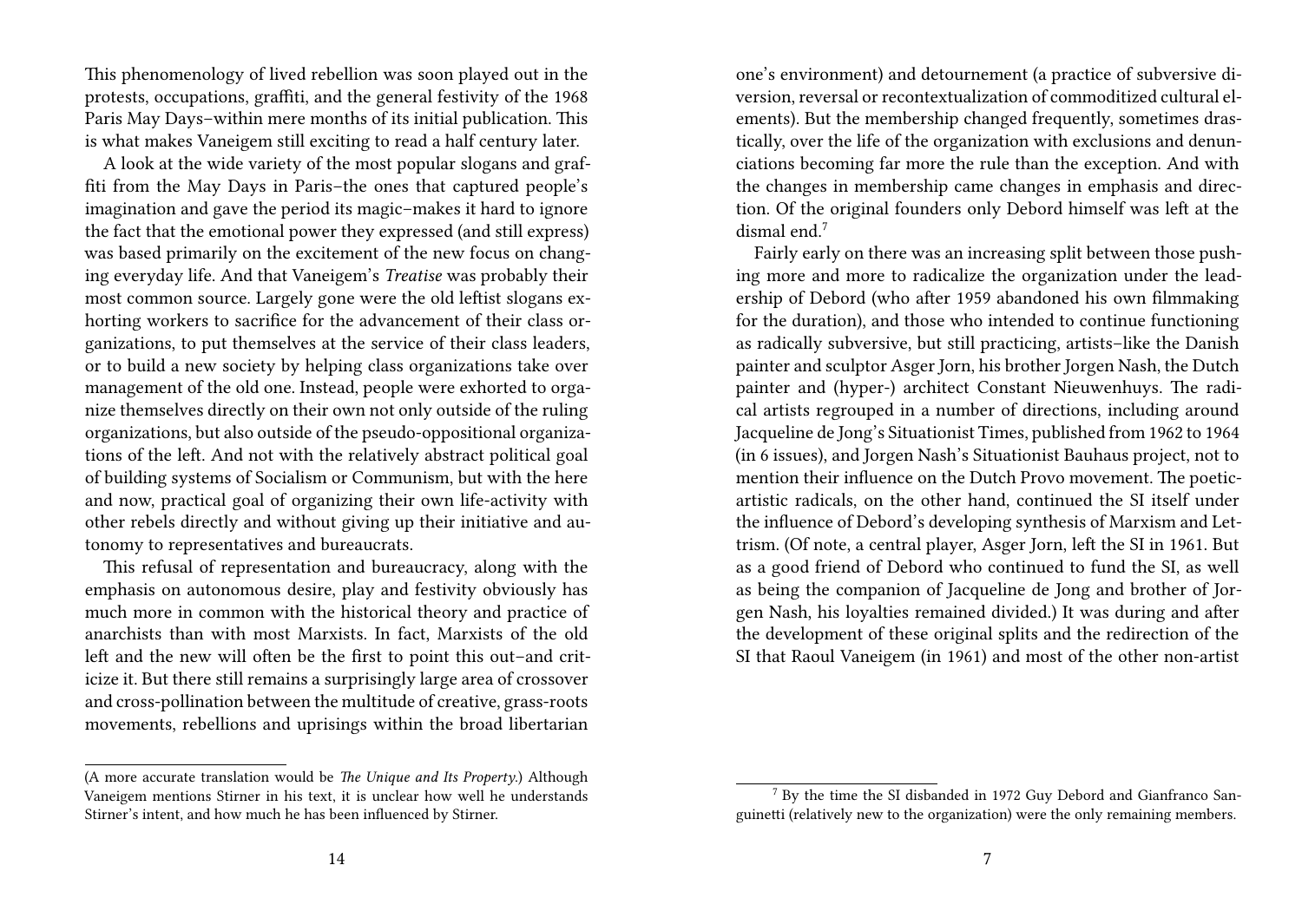This phenomenology of lived rebellion was soon played out in the protests, occupations, graffiti, and the general festivity of the 1968 Paris May Days–within mere months of its initial publication. This is what makes Vaneigem still exciting to read a half century later.

A look at the wide variety of the most popular slogans and graffiti from the May Days in Paris–the ones that captured people's imagination and gave the period its magic–makes it hard to ignore the fact that the emotional power they expressed (and still express) was based primarily on the excitement of the new focus on changing everyday life. And that Vaneigem's *Treatise* was probably their most common source. Largely gone were the old leftist slogans exhorting workers to sacrifice for the advancement of their class organizations, to put themselves at the service of their class leaders, or to build a new society by helping class organizations take over management of the old one. Instead, people were exhorted to organize themselves directly on their own not only outside of the ruling organizations, but also outside of the pseudo-oppositional organizations of the left. And not with the relatively abstract political goal of building systems of Socialism or Communism, but with the here and now, practical goal of organizing their own life-activity with other rebels directly and without giving up their initiative and autonomy to representatives and bureaucrats.

This refusal of representation and bureaucracy, along with the emphasis on autonomous desire, play and festivity obviously has much more in common with the historical theory and practice of anarchists than with most Marxists. In fact, Marxists of the old left and the new will often be the first to point this out–and criticize it. But there still remains a surprisingly large area of crossover and cross-pollination between the multitude of creative, grass-roots movements, rebellions and uprisings within the broad libertarian

one's environment) and detournement (a practice of subversive diversion, reversal or recontextualization of commoditized cultural elements). But the membership changed frequently, sometimes drastically, over the life of the organization with exclusions and denunciations becoming far more the rule than the exception. And with the changes in membership came changes in emphasis and direction. Of the original founders only Debord himself was left at the dismal end<sup>7</sup>

Fairly early on there was an increasing split between those pushing more and more to radicalize the organization under the leadership of Debord (who after 1959 abandoned his own filmmaking for the duration), and those who intended to continue functioning as radically subversive, but still practicing, artists–like the Danish painter and sculptor Asger Jorn, his brother Jorgen Nash, the Dutch painter and (hyper-) architect Constant Nieuwenhuys. The radical artists regrouped in a number of directions, including around Jacqueline de Jong's Situationist Times, published from 1962 to 1964 (in 6 issues), and Jorgen Nash's Situationist Bauhaus project, not to mention their influence on the Dutch Provo movement. The poeticartistic radicals, on the other hand, continued the SI itself under the influence of Debord's developing synthesis of Marxism and Lettrism. (Of note, a central player, Asger Jorn, left the SI in 1961. But as a good friend of Debord who continued to fund the SI, as well as being the companion of Jacqueline de Jong and brother of Jorgen Nash, his loyalties remained divided.) It was during and after the development of these original splits and the redirection of the SI that Raoul Vaneigem (in 1961) and most of the other non-artist

<sup>(</sup>A more accurate translation would be *The Unique and Its Property*.) Although Vaneigem mentions Stirner in his text, it is unclear how well he understands Stirner's intent, and how much he has been influenced by Stirner.

<sup>7</sup> By the time the SI disbanded in 1972 Guy Debord and Gianfranco Sanguinetti (relatively new to the organization) were the only remaining members.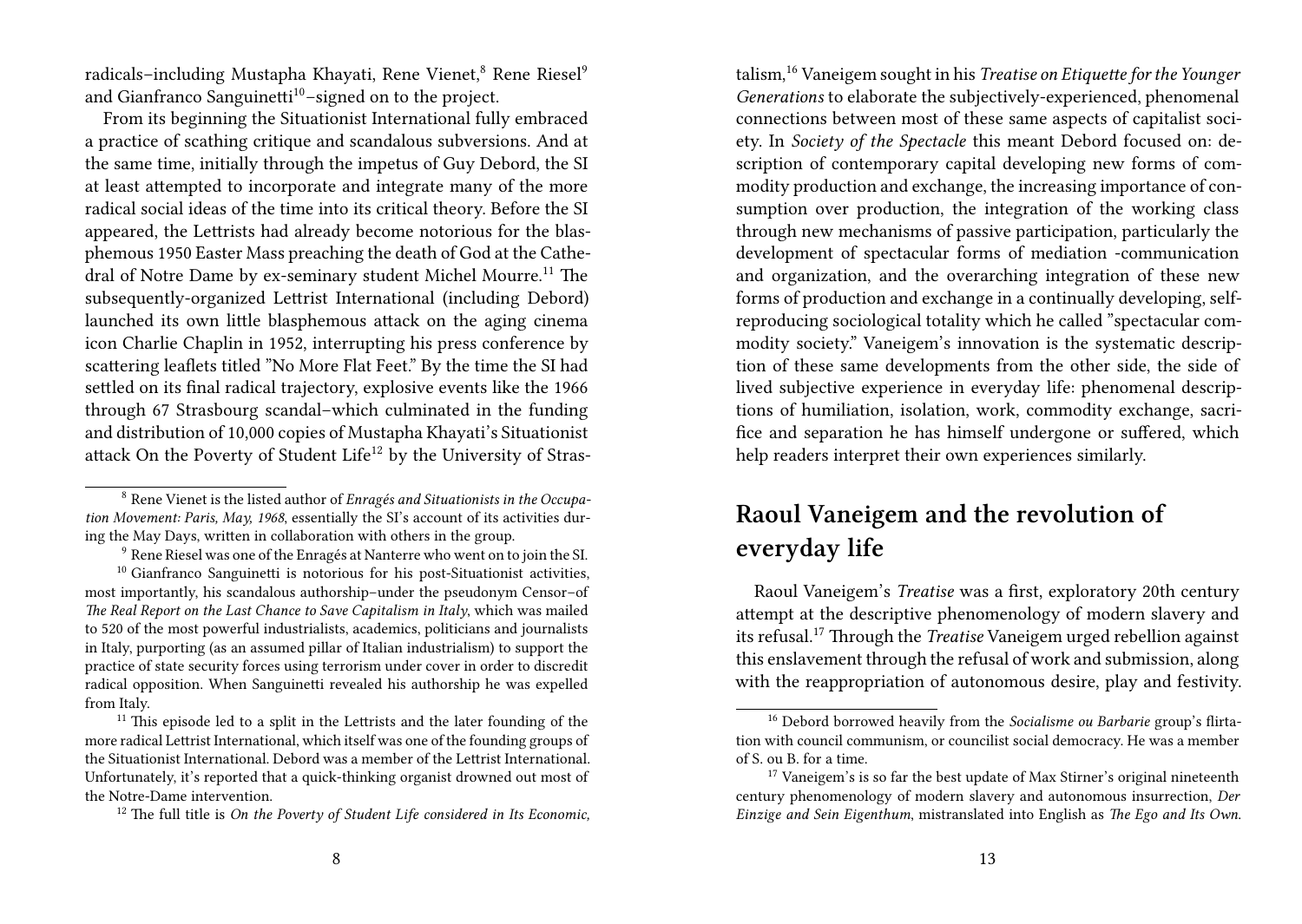radicals–including Mustapha Khayati, Rene Vienet,<sup>8</sup> Rene Riesel<sup>9</sup> and Gianfranco Sanguinetti<sup>10</sup>-signed on to the project.

From its beginning the Situationist International fully embraced a practice of scathing critique and scandalous subversions. And at the same time, initially through the impetus of Guy Debord, the SI at least attempted to incorporate and integrate many of the more radical social ideas of the time into its critical theory. Before the SI appeared, the Lettrists had already become notorious for the blasphemous 1950 Easter Mass preaching the death of God at the Cathedral of Notre Dame by ex-seminary student Michel Mourre.<sup>11</sup> The subsequently-organized Lettrist International (including Debord) launched its own little blasphemous attack on the aging cinema icon Charlie Chaplin in 1952, interrupting his press conference by scattering leaflets titled "No More Flat Feet." By the time the SI had settled on its final radical trajectory, explosive events like the 1966 through 67 Strasbourg scandal–which culminated in the funding and distribution of 10,000 copies of Mustapha Khayati's Situationist attack On the Poverty of Student Life<sup>12</sup> by the University of Strastalism,<sup>16</sup> Vaneigem sought in his *Treatise on Etiquette for the Younger Generations* to elaborate the subjectively-experienced, phenomenal connections between most of these same aspects of capitalist society. In *Society of the Spectacle* this meant Debord focused on: description of contemporary capital developing new forms of commodity production and exchange, the increasing importance of consumption over production, the integration of the working class through new mechanisms of passive participation, particularly the development of spectacular forms of mediation -communication and organization, and the overarching integration of these new forms of production and exchange in a continually developing, selfreproducing sociological totality which he called "spectacular commodity society." Vaneigem's innovation is the systematic description of these same developments from the other side, the side of lived subjective experience in everyday life: phenomenal descriptions of humiliation, isolation, work, commodity exchange, sacrifice and separation he has himself undergone or suffered, which help readers interpret their own experiences similarly.

## **Raoul Vaneigem and the revolution of everyday life**

Raoul Vaneigem's *Treatise* was a first, exploratory 20th century attempt at the descriptive phenomenology of modern slavery and its refusal.<sup>17</sup> Through the *Treatise* Vaneigem urged rebellion against this enslavement through the refusal of work and submission, along with the reappropriation of autonomous desire, play and festivity.

<sup>8</sup> Rene Vienet is the listed author of *Enragés and Situationists in the Occupation Movement: Paris, May, 1968*, essentially the SI's account of its activities during the May Days, written in collaboration with others in the group.

<sup>9</sup> Rene Riesel was one of the Enragés at Nanterre who went on to join the SI.

 $10$  Gianfranco Sanguinetti is notorious for his post-Situationist activities, most importantly, his scandalous authorship–under the pseudonym Censor–of *The Real Report on the Last Chance to Save Capitalism in Italy*, which was mailed to 520 of the most powerful industrialists, academics, politicians and journalists in Italy, purporting (as an assumed pillar of Italian industrialism) to support the practice of state security forces using terrorism under cover in order to discredit radical opposition. When Sanguinetti revealed his authorship he was expelled from Italy.

 $11$ <sup>11</sup> This episode led to a split in the Lettrists and the later founding of the more radical Lettrist International, which itself was one of the founding groups of the Situationist International. Debord was a member of the Lettrist International. Unfortunately, it's reported that a quick-thinking organist drowned out most of the Notre-Dame intervention.

<sup>12</sup> The full title is *On the Poverty of Student Life considered in Its Economic,*

<sup>16</sup> Debord borrowed heavily from the *Socialisme ou Barbarie* group's flirtation with council communism, or councilist social democracy. He was a member of S. ou B. for a time.

 $17$  Vaneigem's is so far the best update of Max Stirner's original nineteenth century phenomenology of modern slavery and autonomous insurrection, *Der Einzige and Sein Eigenthum*, mistranslated into English as *The Ego and Its Own*.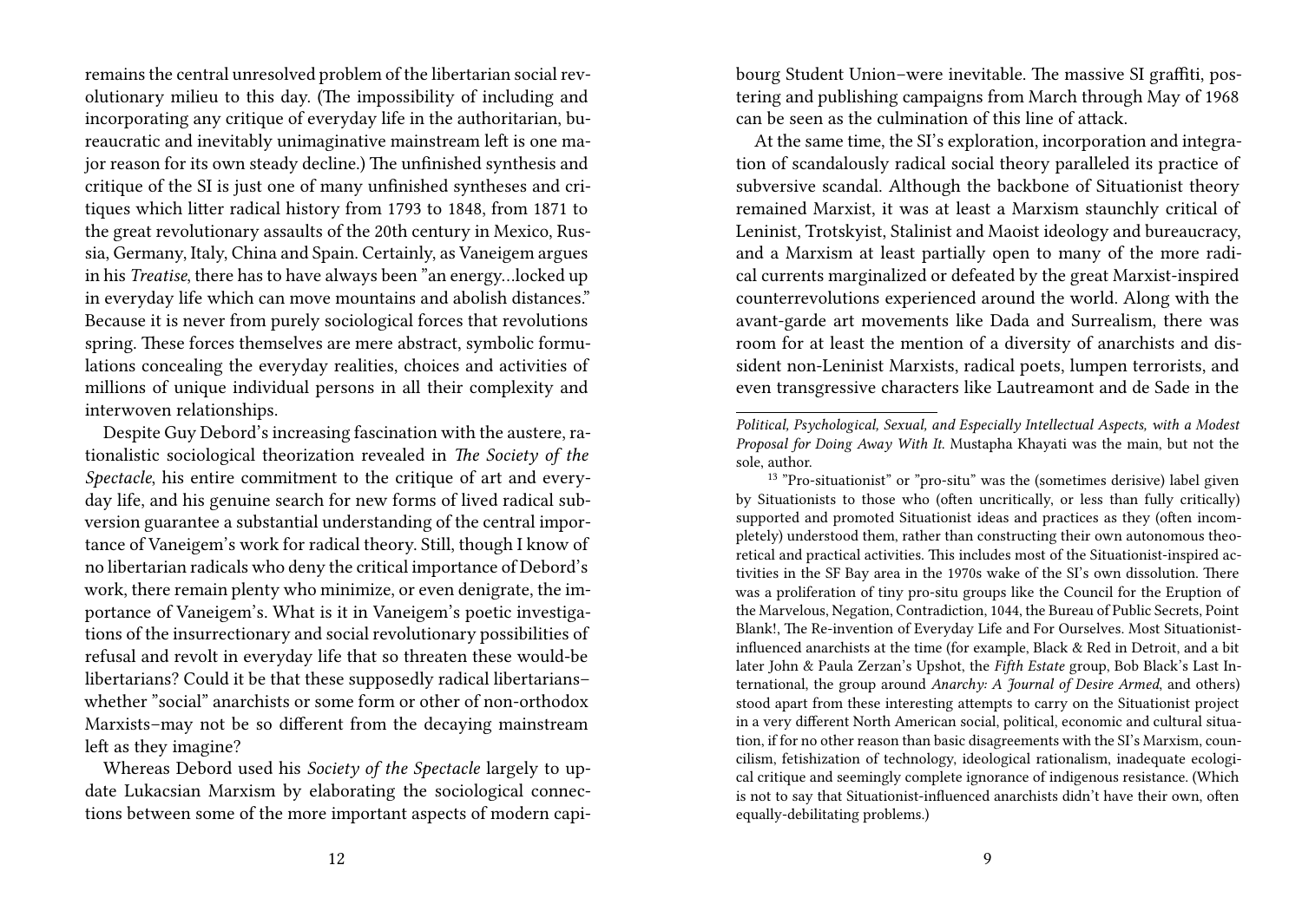remains the central unresolved problem of the libertarian social revolutionary milieu to this day. (The impossibility of including and incorporating any critique of everyday life in the authoritarian, bureaucratic and inevitably unimaginative mainstream left is one major reason for its own steady decline.) The unfinished synthesis and critique of the SI is just one of many unfinished syntheses and critiques which litter radical history from 1793 to 1848, from 1871 to the great revolutionary assaults of the 20th century in Mexico, Russia, Germany, Italy, China and Spain. Certainly, as Vaneigem argues in his *Treatise*, there has to have always been "an energy…locked up in everyday life which can move mountains and abolish distances." Because it is never from purely sociological forces that revolutions spring. These forces themselves are mere abstract, symbolic formulations concealing the everyday realities, choices and activities of millions of unique individual persons in all their complexity and interwoven relationships.

Despite Guy Debord's increasing fascination with the austere, rationalistic sociological theorization revealed in *The Society of the Spectacle*, his entire commitment to the critique of art and everyday life, and his genuine search for new forms of lived radical subversion guarantee a substantial understanding of the central importance of Vaneigem's work for radical theory. Still, though I know of no libertarian radicals who deny the critical importance of Debord's work, there remain plenty who minimize, or even denigrate, the importance of Vaneigem's. What is it in Vaneigem's poetic investigations of the insurrectionary and social revolutionary possibilities of refusal and revolt in everyday life that so threaten these would-be libertarians? Could it be that these supposedly radical libertarians– whether "social" anarchists or some form or other of non-orthodox Marxists–may not be so different from the decaying mainstream left as they imagine?

Whereas Debord used his *Society of the Spectacle* largely to update Lukacsian Marxism by elaborating the sociological connections between some of the more important aspects of modern capibourg Student Union–were inevitable. The massive SI graffiti, postering and publishing campaigns from March through May of 1968 can be seen as the culmination of this line of attack.

At the same time, the SI's exploration, incorporation and integration of scandalously radical social theory paralleled its practice of subversive scandal. Although the backbone of Situationist theory remained Marxist, it was at least a Marxism staunchly critical of Leninist, Trotskyist, Stalinist and Maoist ideology and bureaucracy, and a Marxism at least partially open to many of the more radical currents marginalized or defeated by the great Marxist-inspired counterrevolutions experienced around the world. Along with the avant-garde art movements like Dada and Surrealism, there was room for at least the mention of a diversity of anarchists and dissident non-Leninist Marxists, radical poets, lumpen terrorists, and even transgressive characters like Lautreamont and de Sade in the

*Political, Psychological, Sexual, and Especially Intellectual Aspects, with a Modest Proposal for Doing Away With It*. Mustapha Khayati was the main, but not the sole, author.

<sup>&</sup>lt;sup>13</sup> "Pro-situationist" or "pro-situ" was the (sometimes derisive) label given by Situationists to those who (often uncritically, or less than fully critically) supported and promoted Situationist ideas and practices as they (often incompletely) understood them, rather than constructing their own autonomous theoretical and practical activities. This includes most of the Situationist-inspired activities in the SF Bay area in the 1970s wake of the SI's own dissolution. There was a proliferation of tiny pro-situ groups like the Council for the Eruption of the Marvelous, Negation, Contradiction, 1044, the Bureau of Public Secrets, Point Blank!, The Re-invention of Everyday Life and For Ourselves. Most Situationistinfluenced anarchists at the time (for example, Black & Red in Detroit, and a bit later John & Paula Zerzan's Upshot, the *Fifth Estate* group, Bob Black's Last International, the group around *Anarchy: A Journal of Desire Armed*, and others) stood apart from these interesting attempts to carry on the Situationist project in a very different North American social, political, economic and cultural situation, if for no other reason than basic disagreements with the SI's Marxism, councilism, fetishization of technology, ideological rationalism, inadequate ecological critique and seemingly complete ignorance of indigenous resistance. (Which is not to say that Situationist-influenced anarchists didn't have their own, often equally-debilitating problems.)